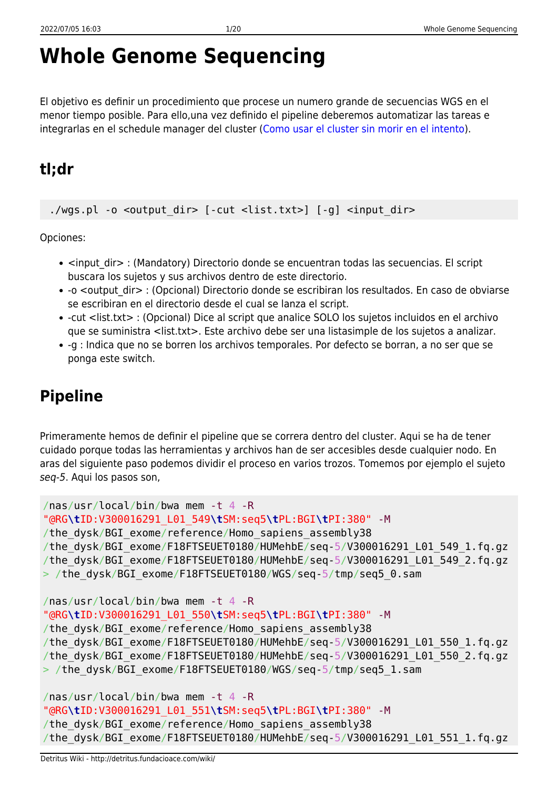# **Whole Genome Sequencing**

El objetivo es definir un procedimiento que procese un numero grande de secuencias WGS en el menor tiempo posible. Para ello,una vez definido el pipeline deberemos automatizar las tareas e integrarlas en el schedule manager del cluster ([Como usar el cluster sin morir en el intento\)](http://detritus.fundacioace.com/wiki/doku.php?id=cluster).

# **tl;dr**

./wgs.pl -o <output dir> [-cut <list.txt>] [-g] <input dir>

Opciones:

- <input dir> : (Mandatory) Directorio donde se encuentran todas las secuencias. El script buscara los sujetos y sus archivos dentro de este directorio.
- -o <output dir> : (Opcional) Directorio donde se escribiran los resultados. En caso de obviarse se escribiran en el directorio desde el cual se lanza el script.
- -cut <list.txt> : (Opcional) Dice al script que analice SOLO los sujetos incluidos en el archivo que se suministra <list.txt>. Este archivo debe ser una listasimple de los sujetos a analizar.
- -g : Indica que no se borren los archivos temporales. Por defecto se borran, a no ser que se ponga este switch.

# **Pipeline**

Primeramente hemos de definir el pipeline que se correra dentro del cluster. Aqui se ha de tener cuidado porque todas las herramientas y archivos han de ser accesibles desde cualquier nodo. En aras del siguiente paso podemos dividir el proceso en varios trozos. Tomemos por ejemplo el sujeto seq-5. Aqui los pasos son,

```
/nas/usr/local/bin/bwa mem -t 4 -R
"@RG\tID:V300016291_L01_549\tSM:seq5\tPL:BGI\tPI:380" -M
/the_dysk/BGI_exome/reference/Homo_sapiens_assembly38
/the_dysk/BGI_exome/F18FTSEUET0180/HUMehbE/seq-5/V300016291_L01_549_1.fq.gz
/the_dysk/BGI_exome/F18FTSEUET0180/HUMehbE/seq-5/V300016291_L01_549_2.fq.gz
> /the dysk/BGI exome/F18FTSEUET0180/WGS/seq-5/tmp/seq5 0.sam
/nas/usr/local/bin/bwa mem -t 4 -R
"@RG\tID:V300016291_L01_550\tSM:seq5\tPL:BGI\tPI:380" -M
/the_dysk/BGI_exome/reference/Homo_sapiens_assembly38
/the_dysk/BGI_exome/F18FTSEUET0180/HUMehbE/seq-5/V300016291_L01_550_1.fq.gz
/the_dysk/BGI_exome/F18FTSEUET0180/HUMehbE/seq-5/V300016291_L01_550_2.fq.gz
> /the_dysk/BGI_exome/F18FTSEUET0180/WGS/seq-5/tmp/seq5_1.sam
/nas/usr/local/bin/bwa mem -t 4 -R
```

```
"@RG\tID:V300016291_L01_551\tSM:seq5\tPL:BGI\tPI:380" -M
/the dysk/BGI exome/reference/Homo sapiens assembly38
/the dysk/BGI exome/F18FTSEUET0180/HUMehbE/seq-5/V300016291 L01 551 1.fq.gz
```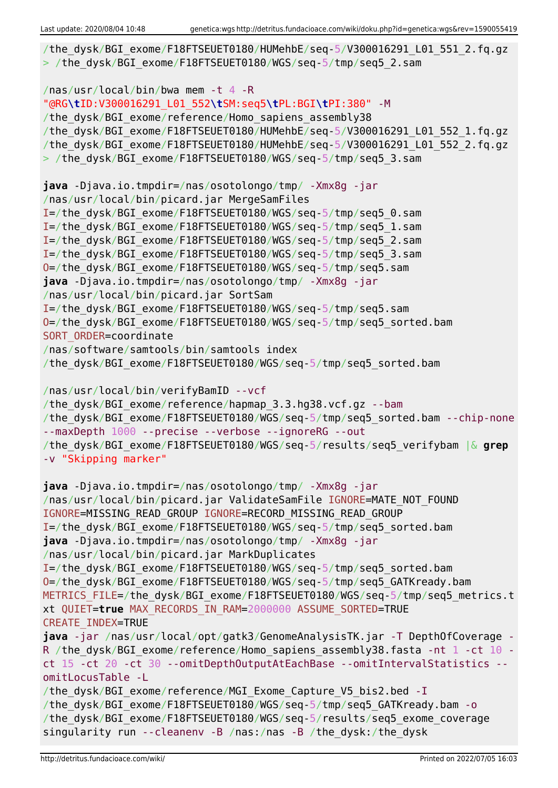```
/the dysk/BGI exome/F18FTSEUET0180/HUMehbE/seq-5/V300016291 L01 551 2.fq.gz
> /the dysk/BGI exome/F18FTSEUET0180/WGS/seq-5/tmp/seq5_2.sam
/nas/usr/local/bin/bwa mem -t 4 -R
"@RG\tID:V300016291_L01_552\tSM:seq5\tPL:BGI\tPI:380" -M
/the dysk/BGI exome/reference/Homo sapiens assembly38
/the_dysk/BGI_exome/F18FTSEUET0180/HUMehbE/seq-5/V300016291_L01_552_1.fq.gz
/the_dysk/BGI_exome/F18FTSEUET0180/HUMehbE/seq-5/V300016291_L01_552_2.fq.gz
> /the dysk/BGI exome/F18FTSEUET0180/WGS/seq-5/tmp/seq5 3.sam
java -Djava.io.tmpdir=/nas/osotolongo/tmp/ -Xmx8g -jar
/nas/usr/local/bin/picard.jar MergeSamFiles
I=/the_dysk/BGI_exome/F18FTSEUET0180/WGS/seq-5/tmp/seq5_0.sam
I=/the_dysk/BGI_exome/F18FTSEUET0180/WGS/seq-5/tmp/seq5_1.sam
I=/the_dysk/BGI_exome/F18FTSEUET0180/WGS/seq-5/tmp/seq5_2.sam
I=/the_dysk/BGI_exome/F18FTSEUET0180/WGS/seq-5/tmp/seq5_3.sam
O=/the_dysk/BGI_exome/F18FTSEUET0180/WGS/seq-5/tmp/seq5.sam
java -Djava.io.tmpdir=/nas/osotolongo/tmp/ -Xmx8g -jar
/nas/usr/local/bin/picard.jar SortSam
I=/the_dysk/BGI_exome/F18FTSEUET0180/WGS/seq-5/tmp/seq5.sam
O=/the_dysk/BGI_exome/F18FTSEUET0180/WGS/seq-5/tmp/seq5_sorted.bam
SORT ORDER=coordinate
/nas/software/samtools/bin/samtools index
/the_dysk/BGI_exome/F18FTSEUET0180/WGS/seq-5/tmp/seq5_sorted.bam
/nas/usr/local/bin/verifyBamID --vcf
/the dysk/BGI exome/reference/hapmap 3.3.hg38.vcf.gz --bam
/the dysk/BGI exome/F18FTSEUET0180/WGS/seq-5/tmp/seq5 sorted.bam --chip-none
--maxDepth 1000 --precise --verbose --ignoreRG --out
/the_dysk/BGI_exome/F18FTSEUET0180/WGS/seq-5/results/seq5_verifybam |& grep
-v "Skipping marker"
java -Djava.io.tmpdir=/nas/osotolongo/tmp/ -Xmx8g -jar
/nas/usr/local/bin/picard.jar ValidateSamFile IGNORE=MATE_NOT_FOUND
IGNORE=MISSING_READ_GROUP IGNORE=RECORD_MISSING_READ_GROUP
I=/the_dysk/BGI_exome/F18FTSEUET0180/WGS/seq-5/tmp/seq5_sorted.bam
java -Djava.io.tmpdir=/nas/osotolongo/tmp/ -Xmx8g -jar
/nas/usr/local/bin/picard.jar MarkDuplicates
I=/the_dysk/BGI_exome/F18FTSEUET0180/WGS/seq-5/tmp/seq5_sorted.bam
O=/the_dysk/BGI_exome/F18FTSEUET0180/WGS/seq-5/tmp/seq5_GATKready.bam
METRICS FILE=/the dysk/BGI exome/F18FTSEUET0180/WGS/seq-5/tmp/seq5 metrics.t
xt QUIET=true MAX_RECORDS_IN_RAM=2000000 ASSUME_SORTED=TRUE
CREATE_INDEX=TRUE
java -jar /nas/usr/local/opt/gatk3/GenomeAnalysisTK.jar -T DepthOfCoverage -
R /the dysk/BGI exome/reference/Homo sapiens assembly38.fasta -nt 1 -ct 10 -
ct 15 -ct 20 -ct 30 --omitDepthOutputAtEachBase --omitIntervalStatistics --
omitLocusTable -L
/the dysk/BGI exome/reference/MGI Exome Capture V5 bis2.bed -I
/the_dysk/BGI_exome/F18FTSEUET0180/WGS/seq-5/tmp/seq5_GATKready.bam -o
/the_dysk/BGI_exome/F18FTSEUET0180/WGS/seq-5/results/seq5_exome_coverage
singularity run --cleanenv -B /nas:/nas -B /the_dysk:/the_dysk
```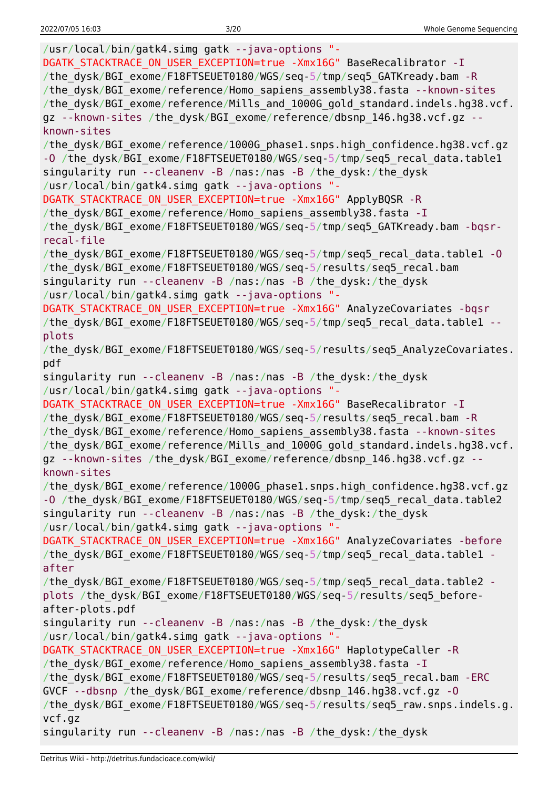/usr/local/bin/gatk4.simg gatk --java-options "- DGATK STACKTRACE ON USER EXCEPTION=true -Xmx16G" BaseRecalibrator -I /the\_dysk/BGI\_exome/F18FTSEUET0180/WGS/seq-5/tmp/seq5\_GATKready.bam -R /the\_dysk/BGI\_exome/reference/Homo\_sapiens\_assembly38.fasta --known-sites /the\_dysk/BGI\_exome/reference/Mills\_and\_1000G\_gold\_standard.indels.hg38.vcf. gz --known-sites /the dysk/BGI exome/reference/dbsnp 146.hg38.vcf.gz -known-sites /the\_dysk/BGI\_exome/reference/1000G\_phase1.snps.high\_confidence.hg38.vcf.gz -O /the dysk/BGI exome/F18FTSEUET0180/WGS/seq-5/tmp/seq5 recal data.table1 singularity run --cleanenv -B /nas:/nas -B /the\_dysk:/the\_dysk /usr/local/bin/gatk4.simg gatk --java-options "- DGATK\_STACKTRACE\_ON\_USER\_EXCEPTION=true -Xmx16G" ApplyBQSR -R /the dysk/BGI exome/reference/Homo sapiens assembly38.fasta -I /the\_dysk/BGI\_exome/F18FTSEUET0180/WGS/seq-5/tmp/seq5\_GATKready.bam -bqsrrecal-file /the\_dysk/BGI\_exome/F18FTSEUET0180/WGS/seq-5/tmp/seq5\_recal\_data.table1 -O /the\_dysk/BGI\_exome/F18FTSEUET0180/WGS/seq-5/results/seq5\_recal.bam singularity run --cleanenv -B /nas:/nas -B /the\_dysk:/the\_dysk /usr/local/bin/gatk4.simg gatk --java-options "- DGATK STACKTRACE ON USER EXCEPTION=true -Xmx16G" AnalyzeCovariates -bqsr /the dysk/BGI exome/F18FTSEUET0180/WGS/seq-5/tmp/seq5\_recal\_data.table1 -plots /the dysk/BGI exome/F18FTSEUET0180/WGS/seq-5/results/seq5 AnalyzeCovariates. pdf singularity run --cleanenv -B /nas:/nas -B /the\_dysk:/the\_dysk /usr/local/bin/gatk4.simg gatk --java-options "- DGATK STACKTRACE ON USER EXCEPTION=true -Xmx16G" BaseRecalibrator -I /the dysk/BGI exome/F18FTSEUET0180/WGS/seq-5/results/seq5 recal.bam -R /the dysk/BGI exome/reference/Homo sapiens assembly38.fasta --known-sites /the\_dysk/BGI\_exome/reference/Mills\_and\_1000G\_gold\_standard.indels.hg38.vcf. gz --known-sites /the dysk/BGI exome/reference/dbsnp 146.hg38.vcf.gz -known-sites /the\_dysk/BGI\_exome/reference/1000G\_phase1.snps.high\_confidence.hg38.vcf.gz -O /the dysk/BGI exome/F18FTSEUET0180/WGS/seq-5/tmp/seq5 recal data.table2 singularity run --cleanenv -B /nas:/nas -B /the\_dysk:/the\_dysk /usr/local/bin/gatk4.simg gatk --java-options "- DGATK STACKTRACE ON USER EXCEPTION=true -Xmx16G" AnalyzeCovariates -before /the dysk/BGI exome/F18FTSEUET0180/WGS/seq-5/tmp/seq5 recal data.table1 after /the\_dysk/BGI\_exome/F18FTSEUET0180/WGS/seq-5/tmp/seq5\_recal\_data.table2 plots /the\_dysk/BGI\_exome/F18FTSEUET0180/WGS/seq-5/results/seq5\_beforeafter-plots.pdf singularity run --cleanenv -B /nas:/nas -B /the\_dysk:/the\_dysk /usr/local/bin/gatk4.simg gatk --java-options "- DGATK STACKTRACE ON USER EXCEPTION=true -Xmx16G" HaplotypeCaller -R /the dysk/BGI exome/reference/Homo sapiens assembly38.fasta -I /the\_dysk/BGI\_exome/F18FTSEUET0180/WGS/seq-5/results/seq5\_recal.bam -ERC GVCF --dbsnp /the\_dysk/BGI\_exome/reference/dbsnp\_146.hg38.vcf.gz -O /the\_dysk/BGI\_exome/F18FTSEUET0180/WGS/seq-5/results/seq5\_raw.snps.indels.g. vcf.gz singularity run --cleanenv -B /nas:/nas -B /the\_dysk:/the\_dysk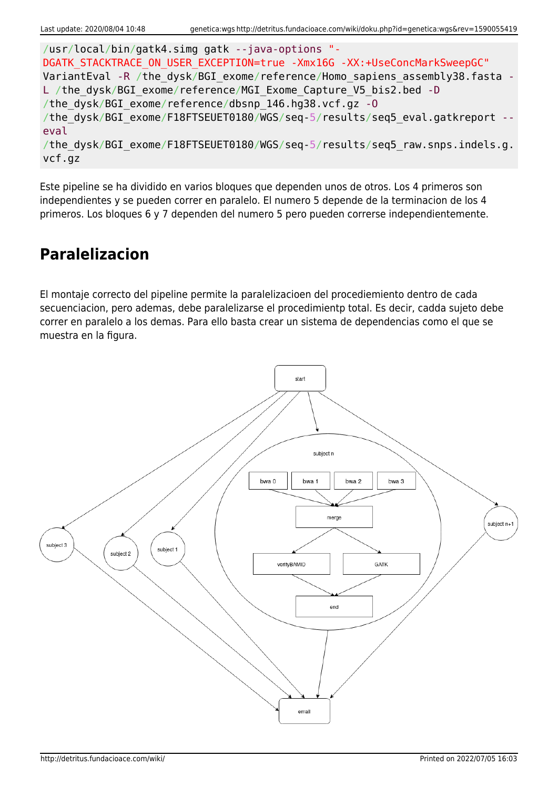```
/usr/local/bin/gatk4.simg gatk --java-options "-
DGATK STACKTRACE ON USER EXCEPTION=true -Xmx16G -XX:+UseConcMarkSweepGC"
VariantEval -R /the dysk/BGI exome/reference/Homo sapiens assembly38.fasta -
L /the dysk/BGI exome/reference/MGI Exome Capture V5 bis2.bed -D
/the_dysk/BGI_exome/reference/dbsnp_146.hg38.vcf.gz -O
/the dysk/BGI exome/F18FTSEUET0180/WGS/seq-5/results/seq5 eval.gatkreport --
eval
/the dysk/BGI exome/F18FTSEUET0180/WGS/seq-5/results/seq5 raw.snps.indels.g.
vcf.gz
```
Este pipeline se ha dividido en varios bloques que dependen unos de otros. Los 4 primeros son independientes y se pueden correr en paralelo. El numero 5 depende de la terminacion de los 4 primeros. Los bloques 6 y 7 dependen del numero 5 pero pueden correrse independientemente.

### **Paralelizacion**

El montaje correcto del pipeline permite la paralelizacioen del procediemiento dentro de cada secuenciacion, pero ademas, debe paralelizarse el procedimientp total. Es decir, cadda sujeto debe correr en paralelo a los demas. Para ello basta crear un sistema de dependencias como el que se muestra en la figura.

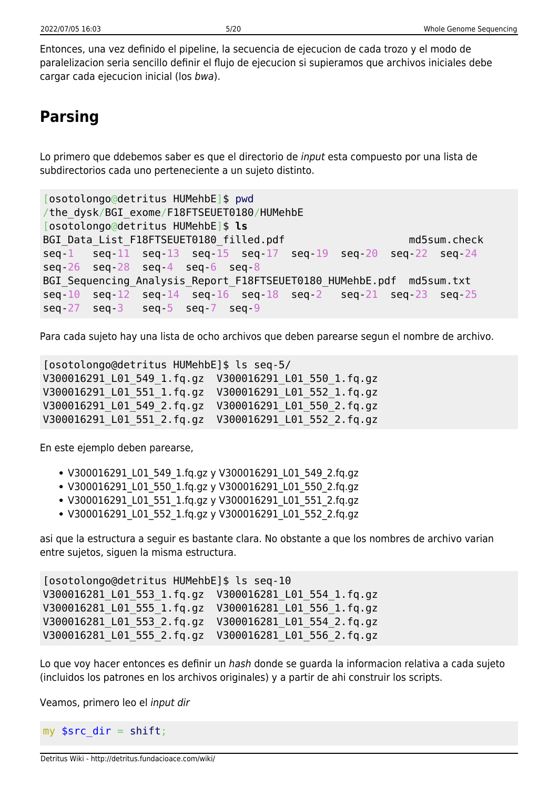Entonces, una vez definido el pipeline, la secuencia de ejecucion de cada trozo y el modo de paralelizacion seria sencillo definir el flujo de ejecucion si supieramos que archivos iniciales debe cargar cada ejecucion inicial (los bwa).

# **Parsing**

Lo primero que ddebemos saber es que el directorio de input esta compuesto por una lista de subdirectorios cada uno perteneciente a un sujeto distinto.

```
[osotolongo@detritus HUMehbE]$ pwd
/the_dysk/BGI_exome/F18FTSEUET0180/HUMehbE
[osotolongo@detritus HUMehbE]$ ls
BGI Data List F18FTSEUET0180 filled.pdf md5sum.check
seq-1 seq-11 seq-13 seq-15 seq-17 seq-19 seq-20 seq-22 seq-24
seq-26 seq-28 seq-4 seq-6 seq-8
BGI Sequencing Analysis Report F18FTSEUET0180 HUMehbE.pdf md5sum.txt
seq-10 seq-12 seq-14 seq-16 seq-18 seq-2 seq-21 seq-23 seq-25
seq-27 seq-3 seq-5 seq-7 seq-9
```
Para cada sujeto hay una lista de ocho archivos que deben parearse segun el nombre de archivo.

[osotolongo@detritus HUMehbE]\$ ls seq-5/ V300016291\_L01\_549\_1.fq.gz V300016291\_L01\_550\_1.fq.gz V300016291\_L01\_551\_1.fq.gz V300016291\_L01\_552\_1.fq.gz V300016291\_L01\_549\_2.fq.gz V300016291\_L01\_550\_2.fq.gz V300016291\_L01\_551\_2.fq.gz V300016291\_L01\_552\_2.fq.gz

En este ejemplo deben parearse,

- V300016291\_L01\_549\_1.fq.gz y V300016291\_L01\_549\_2.fq.gz
- V300016291 L01 550 1.fq.gz y V300016291 L01 550 2.fq.gz
- V300016291 L01 551 1.fq.gz y V300016291 L01 551 2.fq.gz
- V300016291\_L01\_552\_1.fq.gz y V300016291\_L01\_552\_2.fq.gz

asi que la estructura a seguir es bastante clara. No obstante a que los nombres de archivo varian entre sujetos, siguen la misma estructura.

```
[osotolongo@detritus HUMehbE]$ ls seq-10
V300016281_L01_553_1.fq.gz V300016281_L01_554_1.fq.gz
V300016281_L01_555_1.fq.gz V300016281_L01_556_1.fq.gz
V300016281_L01_553_2.fq.gz V300016281_L01_554_2.fq.gz
V300016281_L01_555_2.fq.gz V300016281_L01_556_2.fq.gz
```
Lo que voy hacer entonces es definir un hash donde se quarda la informacion relativa a cada sujeto (incluidos los patrones en los archivos originales) y a partir de ahi construir los scripts.

Veamos, primero leo el input dir

my  $\frac{1}{2}$  src\_dir = [shift;](http://perldoc.perl.org/functions/shift.html)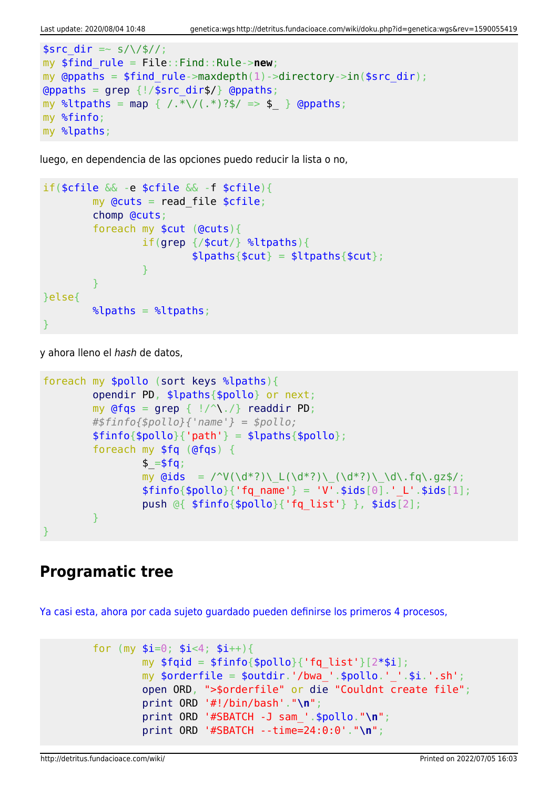```
ssrc dir =~ s/\/$//;
my $find_rule = File::Find::Rule->new;
my @ppaths = $find rule->maxdepth(1)->directory->in(%src dir);\alphagrep {!/$src dir$/} \alpha (appaths;
map { /.*\/(.*)?$/ => $ } @ppaths;
my %finfo;
my %lpaths;
```
luego, en dependencia de las opciones puedo reducir la lista o no,

```
if($cfile && -e $cfile && -f $cfile){
           my Qcuts = read file scfile;
            chomp @cuts;
            foreach my $cut (@cuts){
                        if(grep {/$cut/} %ltpaths){
                                  $lpaths{math;
and the state of the state of the state of the state of the state of the state of the state of the state of the
 }
}else{
           \lambdalpaths = \lambdaltpaths;
}
```
y ahora lleno el hash de datos,

```
foreach my $pollo (sort keys %lpaths){
           opendir PD, $lpaths{$pollo} or next;
          my grep { |}/^{\wedge}\. /readdir PD;
           #$finfo{$pollo}{'name'} = $pollo;
          $finfo{$pollo}{'vab} = $lpaths{$pollo}$; foreach my $fq (@fqs) {
                    $ = $fg;my \text{Gids} = \text{V}(\dagger^*) \left( \frac{d^*?}{d^*?} \right) \left( \frac{d^*?}{d^*?} \right) \cdot \text{d}\cdot\text{fq}\cdot\text{qz}\right);$finfo{}$pollo{}' (fq name' } = 'V'.$ids[0].' L'.$ids[1];
                     push @{ $finfo{$pollo}{'fq_list'} }, $ids[2];
 }
}
```
### **Programatic tree**

[Ya casi esta, ahora por cada sujeto guardado pueden definirse los primeros 4 procesos,](#page--1-0)

```
for (my $i=0; $i<4; $i++}{
        my $fqid = $finfo{$pollo}{'rq list'}[2*$i]; my $orderfile = $outdir.'/bwa_'.$pollo.'_'.$i.'.sh';
         open ORD, ">$orderfile" or die "Couldnt create file";
         print ORD '#!/bin/bash'."\n";
         print ORD '#SBATCH -J sam_'.$pollo."\n";
         print ORD '#SBATCH --time=24:0:0'."\n";
```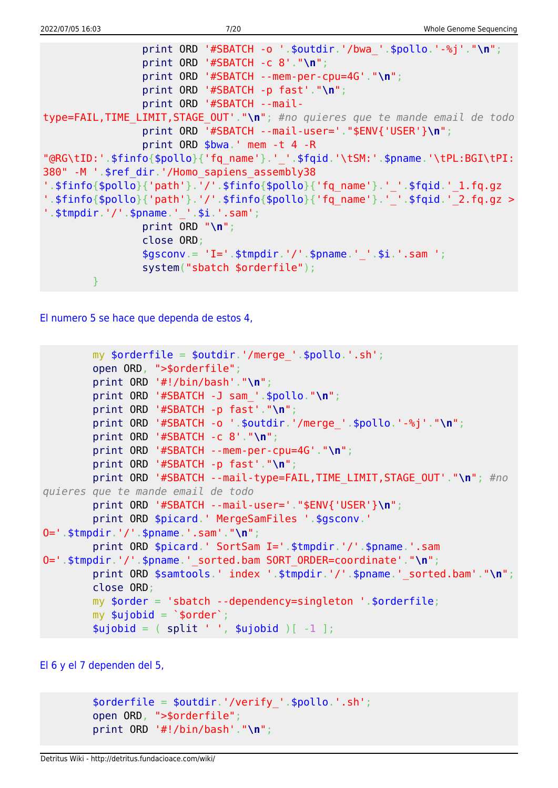```
 print ORD '#SBATCH -o '.$outdir.'/bwa_'.$pollo.'-%j'."\n";
                 print ORD '#SBATCH -c 8'."\n";
                 print ORD '#SBATCH --mem-per-cpu=4G'."\n";
                 print ORD '#SBATCH -p fast'."\n";
                 print ORD '#SBATCH --mail-
type=FAIL,TIME_LIMIT,STAGE_OUT'."\n"; #no quieres que te mande email de todo
                 print ORD '#SBATCH --mail-user='."$ENV{'USER'}\n";
                 print ORD $bwa.' mem -t 4 -R
"@RG\tID:'.$finfo{$pollo}{'fq_name'}.'_'.$fqid.'\tSM:'.$pname.'\tPL:BGI\tPI:
380" -M '.$ref_dir.'/Homo_sapiens_assembly38
'.$finfo{$pollo}{'path'}.'/'.$finfo{$pollo}{'fq_name'}.'_'.$fqid.'_1.fq.qz
'.$finfo{$pollo}{'path'}.'/'.$finfo{$pollo}{'fq_name'}.'_'.$fqid.'_2.fq.gz >
'.$tmpdir.'/'.$pname.' '.$i.'.sam';
                 print ORD "\n";
                 close ORD;
                $gsconv = 'I='. $tmodir.'/'.$pname.''.§i.'.sam '; system("sbatch $orderfile");
 }
```
[El numero 5 se hace que dependa de estos 4,](#page--1-0)

```
my \text{sortederfile} = \text{south}.'/merge '.\text{spollo}.'.sh';
         open ORD, ">$orderfile";
         print ORD '#!/bin/bash'."\n";
         print ORD '#SBATCH -J sam_'.$pollo."\n";
         print ORD '#SBATCH -p fast'."\n";
         print ORD '#SBATCH -o '.$outdir.'/merge_'.$pollo.'-%j'."\n";
         print ORD '#SBATCH -c 8'."\n";
         print ORD '#SBATCH --mem-per-cpu=4G'."\n";
         print ORD '#SBATCH -p fast'."\n";
         print ORD '#SBATCH --mail-type=FAIL,TIME_LIMIT,STAGE_OUT'."\n"; #no
quieres que te mande email de todo
         print ORD '#SBATCH --mail-user='."$ENV{'USER'}\n";
        print ORD $picard.' MergeSamFiles '.$gsconv.'
O='.$tmpdir.'/'.$pname.'.sam'."\n";
         print ORD $picard.' SortSam I='.$tmpdir.'/'.$pname.'.sam
O='.$tmpdir.'/'.$pname.'_sorted.bam SORT_ORDER=coordinate'."\n";
        print ORD $samtools.' index '.$tmpdir.'/'.$pname.' sorted.bam'."\n";
         close ORD;
         my $order = 'sbatch --dependency=singleton '.$orderfile;
        my \text{$\mathfrak{su}$jobid} = \text{$\mathfrak{so}rder$};split ' ', $ujobid )[-1 ];
```
[El 6 y el 7 dependen del 5,](#page--1-0)

```
$orderfile = $outdir.'/verify'.spollo.'.sh'; open ORD, ">$orderfile";
 print ORD '#!/bin/bash'."\n";
```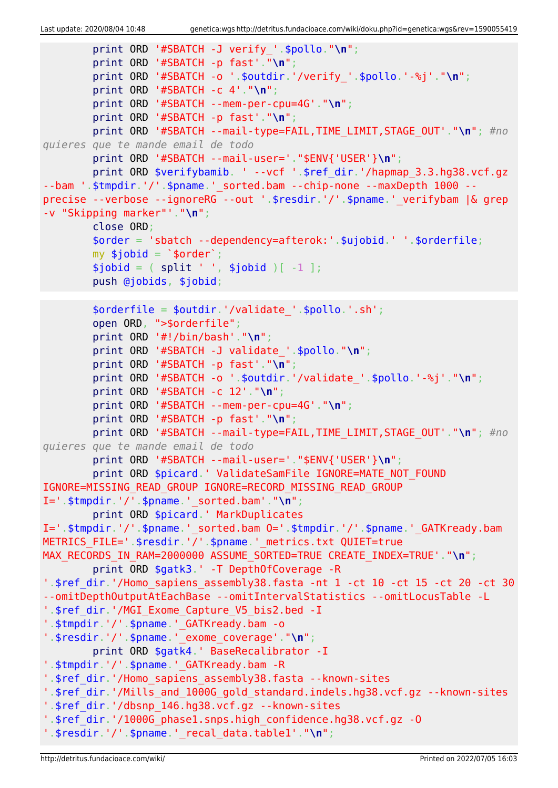```
 print ORD '#SBATCH -J verify_'.$pollo."\n";
         print ORD '#SBATCH -p fast'."\n";
         print ORD '#SBATCH -o '.$outdir.'/verify_'.$pollo.'-%j'."\n";
         print ORD '#SBATCH -c 4'."\n";
         print ORD '#SBATCH --mem-per-cpu=4G'."\n";
         print ORD '#SBATCH -p fast'."\n";
         print ORD '#SBATCH --mail-type=FAIL,TIME_LIMIT,STAGE_OUT'."\n"; #no
quieres que te mande email de todo
         print ORD '#SBATCH --mail-user='."$ENV{'USER'}\n";
        print ORD $verifybamib. ' --vcf '.$ref dir.'/hapmap 3.3.hg38.vcf.gz
--bam '.$tmpdir.'/'.$pname.'_sorted.bam --chip-none --maxDepth 1000 --
precise --verbose --ignoreRG --out '.$resdir.'/'.$pname.'_verifybam |& grep
-v "Skipping marker"'."\n";
         close ORD;
         $order = 'sbatch --dependency=afterok:'.$ujobid.' '.$orderfile;
        mv $jobid = \sqrt{s}order';
        split ' ', $jobid )[-1 ]; push @jobids, $jobid;
        $orderfile = $outdir.'/value''.spollo.'.sh'; open ORD, ">$orderfile";
         print ORD '#!/bin/bash'."\n";
         print ORD '#SBATCH -J validate_'.$pollo."\n";
         print ORD '#SBATCH -p fast'."\n";
         print ORD '#SBATCH -o '.$outdir.'/validate_'.$pollo.'-%j'."\n";
         print ORD '#SBATCH -c 12'."\n";
         print ORD '#SBATCH --mem-per-cpu=4G'."\n";
         print ORD '#SBATCH -p fast'."\n";
         print ORD '#SBATCH --mail-type=FAIL,TIME_LIMIT,STAGE_OUT'."\n"; #no
quieres que te mande email de todo
         print ORD '#SBATCH --mail-user='."$ENV{'USER'}\n";
        print ORD $picard.' ValidateSamFile IGNORE=MATE NOT FOUND
IGNORE=MISSING_READ_GROUP IGNORE=RECORD_MISSING_READ_GROUP
I='.$tmpdir.'/'.$pname.'_sorted.bam'."\n";
         print ORD $picard.' MarkDuplicates
I='.$tmpdir.'/'.$pname.'_sorted.bam 0='.$tmpdir.'/'.$pname.' GATKready.bam
METRICS FILE='.$resdir.'/'.$pname.' metrics.txt QUIET=true
MAX RECORDS IN RAM=2000000 ASSUME SORTED=TRUE CREATE INDEX=TRUE'."\n";
         print ORD $gatk3.' -T DepthOfCoverage -R
'.$ref dir.'/Homo sapiens assembly38.fasta -nt 1 -ct 10 -ct 15 -ct 20 -ct 30
--omitDepthOutputAtEachBase --omitIntervalStatistics --omitLocusTable -L
'.$ref dir.'/MGI Exome Capture V5 bis2.bed -I
'.$tmpdir.'/'.$pname.'_GATKready.bam -o
'.$resdir.'/'.$pname.'_exome_coverage'."\n";
         print ORD $gatk4.' BaseRecalibrator -I
'.$tmpdir.'/'.$pname.'_GATKready.bam -R
'.$ref_dir.'/Homo_sapiens_assembly38.fasta --known-sites
'.$ref_dir.'/Mills_and_1000G_gold_standard.indels.hg38.vcf.gz --known-sites
'.$ref_dir.'/dbsnp_146.hg38.vcf.gz --known-sites
'.$ref_dir.'/1000G_phase1.snps.high_confidence.hg38.vcf.gz -O
'.$resdir.'/'.$pname.'_recal_data.table1'."\n";
```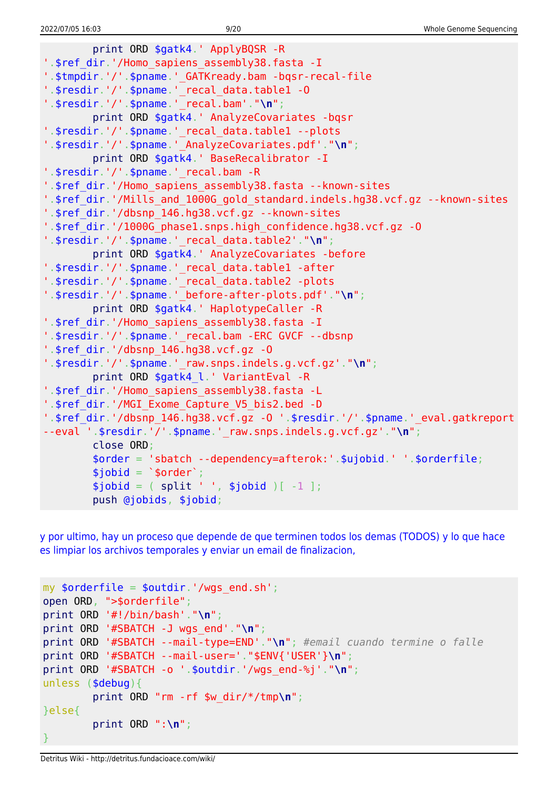```
 print ORD $gatk4.' ApplyBQSR -R
'.$ref dir.'/Homo sapiens assembly38.fasta -I
'.$tmpdir.'/'.$pname.'_GATKready.bam -bqsr-recal-file
'.$resdir.'/'.$pname.' recal data.table1 -0
'.$resdir.'/'.$pname.'_recal.bam'."\n";
        print ORD $gatk4.' AnalyzeCovariates -bqsr
'.$resdir.'/'.$pname.'_recal_data.table1 --plots
'.$resdir.'/'.$pname.'_AnalyzeCovariates.pdf'."\n";
        print ORD $gatk4.' BaseRecalibrator -I
'.$resdir.'/'.$pname.' recal.bam -R
'.$ref dir.'/Homo sapiens assembly38.fasta --known-sites
'.$ref dir.'/Mills and 1000G gold standard.indels.hg38.vcf.gz --known-sites
'.$ref_dir.'/dbsnp_146.hg38.vcf.gz --known-sites
'.$ref_dir.'/1000G_phase1.snps.high_confidence.hg38.vcf.gz -O
'.$resdir.'/'.$pname.'_recal_data.table2'."\n";
        print ORD $gatk4.' AnalyzeCovariates -before
'.$resdir.'/'.$pname.'_recal_data.table1 -after
'.$resdir.'/'.$pname.'_recal_data.table2 -plots
'.$resdir.'/'.$pname.'_before-after-plots.pdf'."\n";
        print ORD $gatk4.' HaplotypeCaller -R
'.$ref dir.'/Homo sapiens assembly38.fasta -I
'.$resdir.'/'.$pname.'_recal.bam -ERC GVCF --dbsnp
'.$ref_dir.'/dbsnp_146.hg38.vcf.gz -O
'.$resdir.'/'.$pname.'_raw.snps.indels.g.vcf.gz'."\n";
        print ORD $gatk4_l.' VariantEval -R
'.$ref dir.'/Homo sapiens assembly38.fasta -L
'.$ref dir.'/MGI Exome Capture V5 bis2.bed -D
'.$ref_dir.'/dbsnp_146.hg38.vcf.gz -O '.$resdir.'/'.$pname.'_eval.gatkreport
--eval '.$resdir.'/'.$pname.'_raw.snps.indels.g.vcf.gz'."\n";
        close ORD;
        $order = 'sbatch --dependency=afterok:'.$ujobid.' '.$orderfile;
       $jobid = '$order';split ' ', $jobid )[-1 ]; push @jobids, $jobid;
```
[y por ultimo, hay un proceso que depende de que terminen todos los demas \(TODOS\) y lo que hace](#page--1-0) [es limpiar los archivos temporales y enviar un email de finalizacion,](#page--1-0)

```
my $orderfile = $outdir.'/wqs end.sh';
open ORD, ">$orderfile";
print ORD '#!/bin/bash'."\n";
print ORD '#SBATCH -J wgs_end'."\n";
print ORD '#SBATCH --mail-type=END'."\n"; #email cuando termine o falle
print ORD '#SBATCH --mail-user='."$ENV{'USER'}\n";
print ORD '#SBATCH -o '.$outdir.'/wgs_end-%j'."\n";
unless ($debug){
         print ORD "rm -rf $w_dir/*/tmp\n";
}else{
         print ORD ":\n";
}
```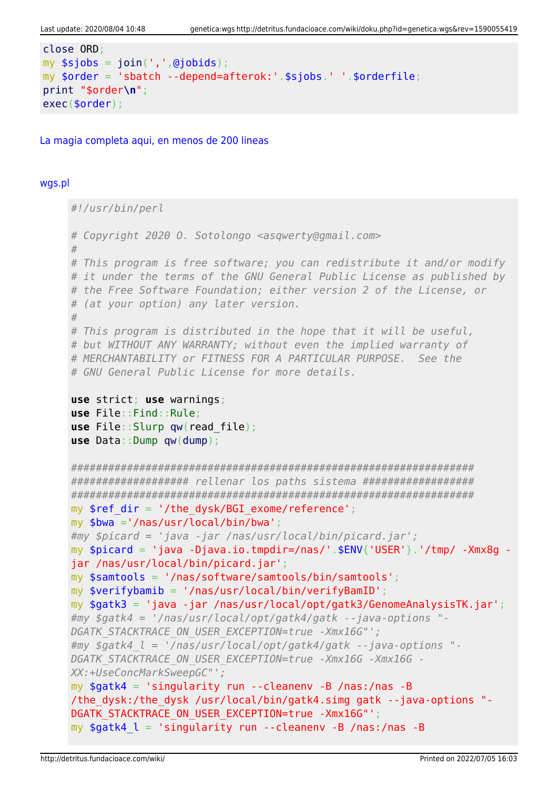```
close ORD:
my $sjobs = join(',',@jobids);
my $order = 'sbatch --depend=afterok:'.$sjobs.' '.$orderfile;
print "$order\n";
exec(<code>border)</code>;
```
La magia completa agui, en menos de 200 lineas

#### wgs.pl

```
#!/usr/bin/perl
# Copyright 2020 O. Sotolongo <asqwerty@gmail.com>
## This program is free software; you can redistribute it and/or modify
# it under the terms of the GNU General Public License as published by
# the Free Software Foundation; either version 2 of the License, or
# (at your option) any later version.
## This program is distributed in the hope that it will be useful,
# but WITHOUT ANY WARRANTY; without even the implied warranty of
# MERCHANTABILITY or FITNESS FOR A PARTICULAR PURPOSE. See the
# GNU General Public License for more details.
use strict; use warnings;
use File:: Find:: Rule;
use File::Slurp qw(read file);use Data::Dump qw(dump);
#################### rellenar los paths sistema ###################
mv $ref dir = '/the dvsk/BGI exome/reference':
my $bwa ='/nas/usr/local/bin/bwa';
#my $picard = 'java -jar /nas/usr/local/bin/picard.jar';
my $picard = 'java -Djava.io.tmpdir=/nas/'.$ENV{'USER'}.'/tmp/ -Xmx8q -
jar /nas/usr/local/bin/picard.jar';
my $samtools = '/nas/software/samtools/bin/samtools';
my $verifybamib = '/nas/usr/local/bin/verifyBamID';
my $gatk3 = 'java -jar /nas/usr/local/opt/gatk3/GenomeAnalysisTK.jar';#my $gatk4 = '/nas/usr/local/opt/gatk4/gatk --java-options "-
DGATK STACKTRACE ON USER EXCEPTION=true -Xmx16G"';
\#my $gatk4 l = '/nas/usr/local/opt/gatk4/gatk --java-options "-
DGATK STACKTRACE ON USER EXCEPTION=true -Xmx16G -Xmx16G -
XX:+UseConcMarkSweepGC"';
my $gatk4 = 'singularity run --cleanenv -B /nas:/nas -B/the dysk:/the dysk /usr/local/bin/gatk4.simg gatk --java-options "-
DGATK STACKTRACE ON USER EXCEPTION=true -Xmx16G"';
my $gatk4 \, l = 'singularity run --cleanenv -B /nas:/nas -B
```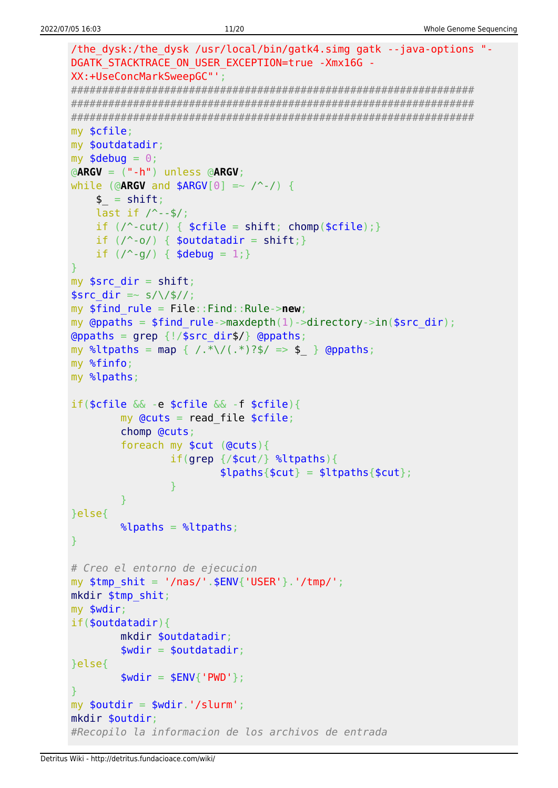```
/the dysk:/the dysk /usr/local/bin/gatk4.simg gatk --java-options "-
DGATK STACKTRACE ON USER EXCEPTION=true -Xmx16G -
XX:+UseConcMarkSweepGC"';
my $cfile;
my $outdatadir;
my $debug = 0;\phiARGV = (" - h") unless \phiARGV;
while (@ARGV and $ARGV[0] =~ \wedge -/) {
   $ = shift;last if / --$/;
   if (\wedge-cut/) { \text{scfile} = \text{shift}; chomp(\text{scfile}); }
   if (\wedge \neg \circ \wedge) { $outdatadir = shift; }
   if (\frac{9}{9}) { $debug = 1; }
my $src dir = shift;
$src dir = \sim s/\/$//;
my $find rule = File::Find::Rule->new;my @ppaths = $find rule->maxdepth(1)->directory->in($src dir);
\Thetappaths = grep {!/$src_dir$/} \Thetappaths;
my %ltpaths = map { /.*\/(.*)?$/ => $ } @ppaths;
my %finfo;
my %lpaths;
if(\frac{2}{3}cfile \& -e \frac{2}{3}cfile \& -f \frac{2}{3}cfile)my Qcuts = read file $cfile;chomp @cuts;
       foreach my $cut (@cuts){
               if(qrep / $cut/} %ltpaths){
                       \{[paths{$cut} = $ltpaths{$cut};
               \mathcal{F}}else{
       \lambdalpaths = \lambdaltpaths;
<sup>}</sup>
# Creo el entorno de ejecucion
my $tmp shift = '/nas/'.$ENV{''USER'}'.'tmp/';mkdir $tmp shit;
my $wdir;
if(<b>soundatadir</b>)mkdir $outdatadir;
        $width = 5outdatadir;}else{
       $width = $ENV{'}}' PWD'};my $outdir = $wdir.'/slurm';
mkdir $outdir:
#Recopilo la informacion de los archivos de entrada
```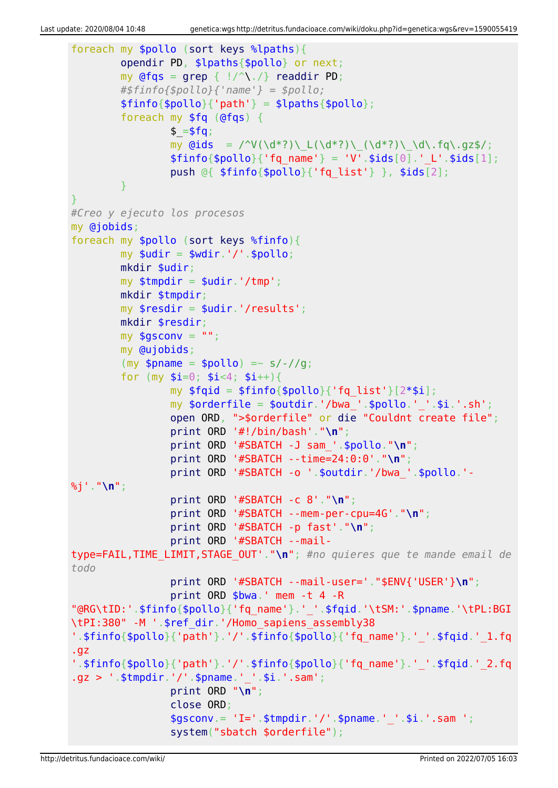```
foreach my $pollo (sort keys %lpaths){
          opendir PD, $lpaths{$pollo} or next;
         my @fqs = qrep { |}/^{\wedge}readdir PD;
          #$finfo{$pollo}{'name'} = $pollo;
         $finfo{$pollo}{'parh'} = $lpaths{$pollo}; foreach my $fq (@fqs) {
                  $ = $fg;my \ddot{\text{Gids}} = \frac{\text{V}(\ddot{\text{d}}^*)\left(\frac{d^*}{\text{d}}\right)\left(\frac{d^*}{\text{d}}\right)\left(\frac{d^*}{\text{d}}\right)}{\text{d}^*}$finfo{$pollo}{'rq name'} = 'V'.$ids[0].' L'.$ids[1]; push @{ $finfo{$pollo}{'fq_list'} }, $ids[2];
 }
}
#Creo y ejecuto los procesos
my @jobids;
foreach my $pollo (sort keys %finfo){
         mv $udir = $wdir.'/'.$pollo:
          mkdir $udir;
         my $tmpdir = $udir.'/tmp'; mkdir $tmpdir;
         my $resdir = $udir.'/results';
          mkdir $resdir;
        my $gsconv = " ";
          my @ujobids;
         (my $pname = $pollo) =~ s/-//g;
         for (my $i=0; $i<4; $i++){}my $fqid = $finfo{$pollo}{'fg list'}[2*$i];my \text{porderfile} = \text{poutdir.}'/\text{bwa}. \text{pollo.}''.'.\text{si.}'.s\text{h'};
                  open ORD, ">$orderfile" or die "Couldnt create file";
                  print ORD '#!/bin/bash'."\n";
                  print ORD '#SBATCH -J sam_'.$pollo."\n";
                   print ORD '#SBATCH --time=24:0:0'."\n";
                  print ORD '#SBATCH -o '.$outdir.'/bwa_'.$pollo.'-
%j'."\n";
                  print ORD '#SBATCH -c 8'."\n";
                  print ORD '#SBATCH --mem-per-cpu=4G'."\n";
                  print ORD '#SBATCH -p fast'."\n";
                  print ORD '#SBATCH --mail-
type=FAIL,TIME_LIMIT,STAGE_OUT'."\n"; #no quieres que te mande email de
todo
                  print ORD '#SBATCH --mail-user='."$ENV{'USER'}\n";
                  print ORD $bwa.' mem -t 4 -R
"@RG\tID:'.$finfo{$pollo}{'fq_name'}.'_'.$fqid.'\tSM:'.$pname.'\tPL:BGI
\tPI:380" -M '.$ref_dir.'/Homo_sapiens_assembly38
'.$finfo{$pollo}{'path'}.'/'.$finfo{$pollo}{'fq_name'}.'_'.$fqid.'_1.fq
.gz
'.$finfo{$pollo}{'path'}.'/'.$finfo{$pollo}{'fq_name'}.'_'.$fqid.'_2.fq
.gz > '.$tmpdir.'/'.$pname.'_'.$i.'.sam';
                  print ORD "\n";
                   close ORD;
                  $gsconv = 'I='. $tmodir.'/'.$pname.''.§i.'.sam '; system("sbatch $orderfile");
```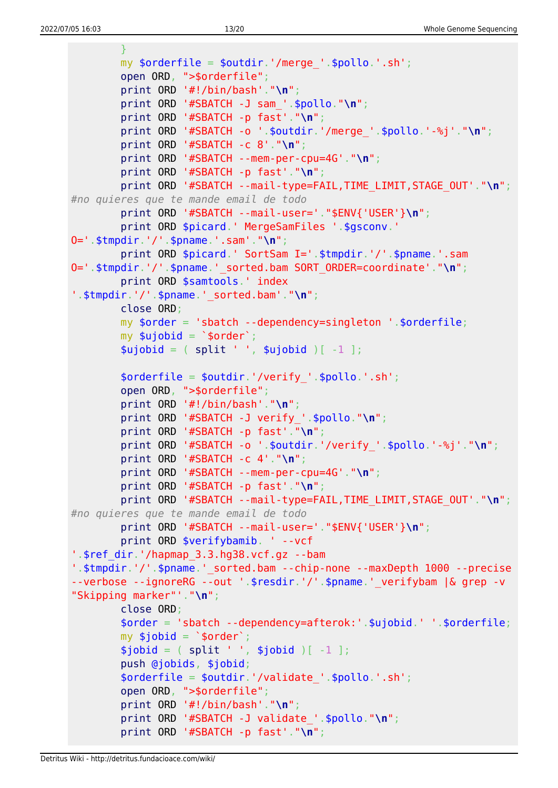```
 }
         my $orderfile = $outdir.'/merge_'.$pollo.'.sh';
         open ORD, ">$orderfile";
         print ORD '#!/bin/bash'."\n";
         print ORD '#SBATCH -J sam_'.$pollo."\n";
         print ORD '#SBATCH -p fast'."\n";
         print ORD '#SBATCH -o '.$outdir.'/merge_'.$pollo.'-%j'."\n";
         print ORD '#SBATCH -c 8'."\n";
         print ORD '#SBATCH --mem-per-cpu=4G'."\n";
         print ORD '#SBATCH -p fast'."\n";
         print ORD '#SBATCH --mail-type=FAIL,TIME_LIMIT,STAGE_OUT'."\n";
#no quieres que te mande email de todo
         print ORD '#SBATCH --mail-user='."$ENV{'USER'}\n";
         print ORD $picard.' MergeSamFiles '.$gsconv.'
O='.$tmpdir.'/'.$pname.'.sam'."\n";
         print ORD $picard.' SortSam I='.$tmpdir.'/'.$pname.'.sam
O='.$tmpdir.'/'.$pname.'_sorted.bam SORT_ORDER=coordinate'."\n";
         print ORD $samtools.' index
'.$tmpdir.'/'.$pname.'_sorted.bam'."\n";
         close ORD;
         my $order = 'sbatch --dependency=singleton '.$orderfile;
        my $ujobid = `$order';split ' ', $ujobid )[-1 ]; $orderfile = $outdir.'/verify_'.$pollo.'.sh';
         open ORD, ">$orderfile";
         print ORD '#!/bin/bash'."\n";
         print ORD '#SBATCH -J verify_'.$pollo."\n";
         print ORD '#SBATCH -p fast'."\n";
         print ORD '#SBATCH -o '.$outdir.'/verify_'.$pollo.'-%j'."\n";
         print ORD '#SBATCH -c 4'."\n";
         print ORD '#SBATCH --mem-per-cpu=4G'."\n";
         print ORD '#SBATCH -p fast'."\n";
         print ORD '#SBATCH --mail-type=FAIL,TIME_LIMIT,STAGE_OUT'."\n";
#no quieres que te mande email de todo
         print ORD '#SBATCH --mail-user='."$ENV{'USER'}\n";
         print ORD $verifybamib. ' --vcf
'.$ref_dir.'/hapmap_3.3.hg38.vcf.gz --bam
'.$tmpdir.'/'.$pname.' sorted.bam --chip-none --maxDepth 1000 --precise
--verbose --ignoreRG --out '.$resdir.'/'.$pname.' verifybam |& grep -v
"Skipping marker"'."\n";
         close ORD;
         $order = 'sbatch --dependency=afterok:'.$ujobid.' '.$orderfile;
        my $jobid = `$order';split ' ', $jobid )[-1 ]; push @jobids, $jobid;
         $orderfile = $outdir.'/validate_'.$pollo.'.sh';
         open ORD, ">$orderfile";
         print ORD '#!/bin/bash'."\n";
         print ORD '#SBATCH -J validate_'.$pollo."\n";
         print ORD '#SBATCH -p fast'."\n";
```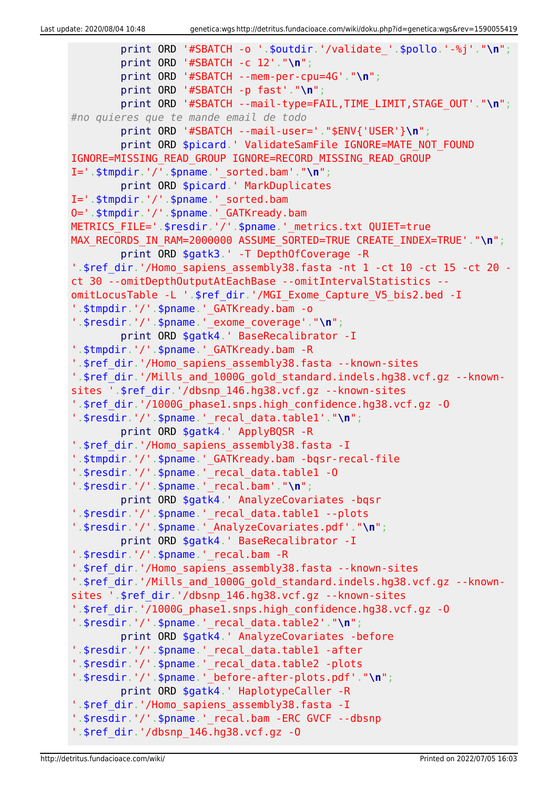```
 print ORD '#SBATCH -o '.$outdir.'/validate_'.$pollo.'-%j'."\n";
         print ORD '#SBATCH -c 12'."\n";
         print ORD '#SBATCH --mem-per-cpu=4G'."\n";
         print ORD '#SBATCH -p fast'."\n";
         print ORD '#SBATCH --mail-type=FAIL,TIME_LIMIT,STAGE_OUT'."\n";
#no quieres que te mande email de todo
         print ORD '#SBATCH --mail-user='."$ENV{'USER'}\n";
        print ORD $picard.' ValidateSamFile IGNORE=MATE NOT FOUND
IGNORE=MISSING_READ_GROUP IGNORE=RECORD_MISSING_READ_GROUP
I='.$tmpdir.'/'.$pname.'_sorted.bam'."\n";
         print ORD $picard.' MarkDuplicates
I='.$tmpdir.'/'.$pname.' sorted.bam
O='.$tmpdir.'/'.$pname.'_GATKready.bam
METRICS_FILE='.$resdir.'/'.$pname.'_metrics.txt QUIET=true
MAX RECORDS IN RAM=2000000 ASSUME SORTED=TRUE CREATE INDEX=TRUE'."\n";
         print ORD $gatk3.' -T DepthOfCoverage -R
'.$ref dir.'/Homo sapiens assembly38.fasta -nt 1 -ct 10 -ct 15 -ct 20 -
ct 30 --omitDepthOutputAtEachBase --omitIntervalStatistics --
omitLocusTable -L '.$ref_dir.'/MGI_Exome_Capture_V5_bis2.bed -I
'.$tmpdir.'/'.$pname.'_GATKready.bam -o
'.$resdir.'/'.$pname.'_exome_coverage'."\n";
         print ORD $gatk4.' BaseRecalibrator -I
'.$tmpdir.'/'.$pname.' GATKready.bam -R
'.$ref dir.'/Homo sapiens assembly38.fasta --known-sites
'.$ref_dir.'/Mills_and_1000G_gold_standard.indels.hg38.vcf.gz --known-
sites '.$ref_dir.'/dbsnp_146.hg38.vcf.gz --known-sites
'.$ref_dir.'/1000G_phase1.snps.high_confidence.hg38.vcf.gz -O
'.$resdir.'/'.$pname.'_recal_data.table1'."\n";
         print ORD $gatk4.' ApplyBQSR -R
'.$ref_dir.'/Homo_sapiens_assembly38.fasta -I
'.$tmpdir.'/'.$pname.'_GATKready.bam -bqsr-recal-file
'.$resdir.'/'.$pname.'_recal_data.table1 -O
'.$resdir.'/'.$pname.'_recal.bam'."\n";
         print ORD $gatk4.' AnalyzeCovariates -bqsr
'.$resdir.'/'.$pname.'_recal_data.table1 --plots
'.$resdir.'/'.$pname.'_AnalyzeCovariates.pdf'."\n";
         print ORD $gatk4.' BaseRecalibrator -I
'.$resdir.'/'.$pname.'_recal.bam -R
'.$ref_dir.'/Homo_sapiens_assembly38.fasta --known-sites
'.$ref_dir.'/Mills_and_1000G_gold_standard.indels.hg38.vcf.gz --known-
sites '.$ref_dir.'/dbsnp_146.hg38.vcf.gz --known-sites
'.$ref_dir.'/1000G_phase1.snps.high_confidence.hg38.vcf.gz -O
'.$resdir.'/'.$pname.'_recal_data.table2'."\n";
         print ORD $gatk4.' AnalyzeCovariates -before
'.$resdir.'/'.$pname.'_recal_data.table1 -after
'.$resdir.'/'.$pname.'_recal_data.table2 -plots
'.$resdir.'/'.$pname.'_before-after-plots.pdf'."\n";
         print ORD $gatk4.' HaplotypeCaller -R
'.$ref dir.'/Homo sapiens assembly38.fasta -I
'.$resdir.'/'.$pname.'_recal.bam -ERC GVCF --dbsnp
'.$ref_dir.'/dbsnp_146.hg38.vcf.gz -O
```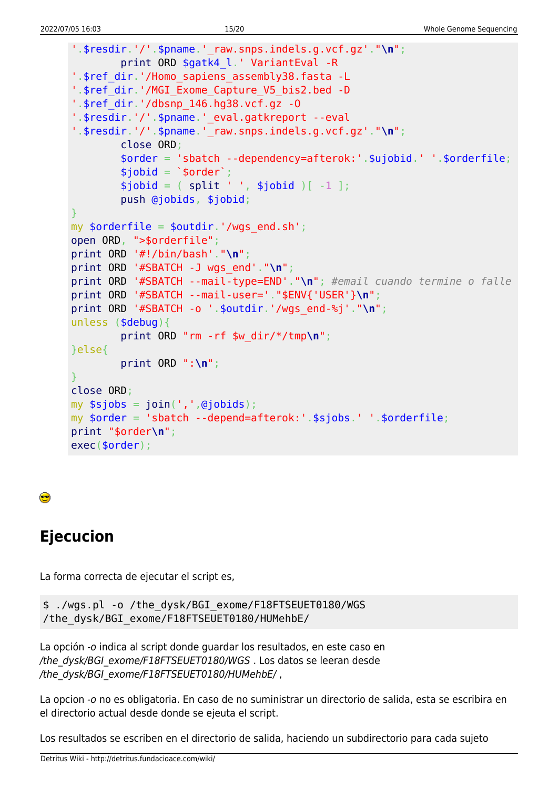```
'.$resdir.'/'.$pname.' raw.snps.index.org.vcf.g.'."\\n'';print ORD $gatk4_l.' VariantEval -R
'.$ref dir.'/Homo sapiens assembly38.fasta -L
'.$ref dir.'/MGI Exome Capture V5 bis2.bed -D
'.$ref_dir.'/dbsnp_146.hg38.vcf.gz -0
'.$resdir.'/'.$pname.' eval.gatkreport --eval
'.$resdir.'/'.$pname.'_raw.snps.indels.g.vcf.gz'."\n";
        close ORD;
        \$order = 'sbatch -- dependency=afterok:'.$ujobid.''.sorderfile;$jobid = '$order';$jobid = ( split ' ', $jobid )[-1 ];push @jobids, $jobid;
my $orderfile = $outdir.'/wqs end.sh';
open ORD, ">$orderfile";
print ORD '#!/bin/bash'."\n";
print ORD '#SBATCH -J wgs_end'."\n";
print ORD '#SBATCH --mail-type=END'."\n"; #email cuando termine o falle
print ORD '#SBATCH --mail-user='."$ENV{'USER'}\n";
print ORD '#SBATCH -o '.$outdir.'/wgs_end-%j'."\n";
unless (\text{debug})print ORD "rm -rf \frac{w}{dx}/\frac{x}{t}mp\n";
}else{
        print ORD ":\n\cdot\mathbb{R}";
close ORD;
my $sjobs = join(','',@jobids);my $order = 'sbatch --depend=afterok:'.$sjobs.' '.$orderfile;
print "$order\n";
exec($order);
```
#### ●

# **Ejecucion**

La forma correcta de ejecutar el script es,

```
$ ./wqs.pl -o /the dysk/BGI exome/F18FTSEUET0180/WGS
/the dysk/BGI exome/F18FTSEUET0180/HUMehbE/
```
La opción -o indica al script donde guardar los resultados, en este caso en /the dysk/BGI exome/F18FTSEUET0180/WGS. Los datos se leeran desde /the dysk/BGI exome/F18FTSEUET0180/HUMehbE/,

La opcion -o no es obligatoria. En caso de no suministrar un directorio de salida, esta se escribira en el directorio actual desde donde se ejeuta el script.

Los resultados se escriben en el directorio de salida, haciendo un subdirectorio para cada sujeto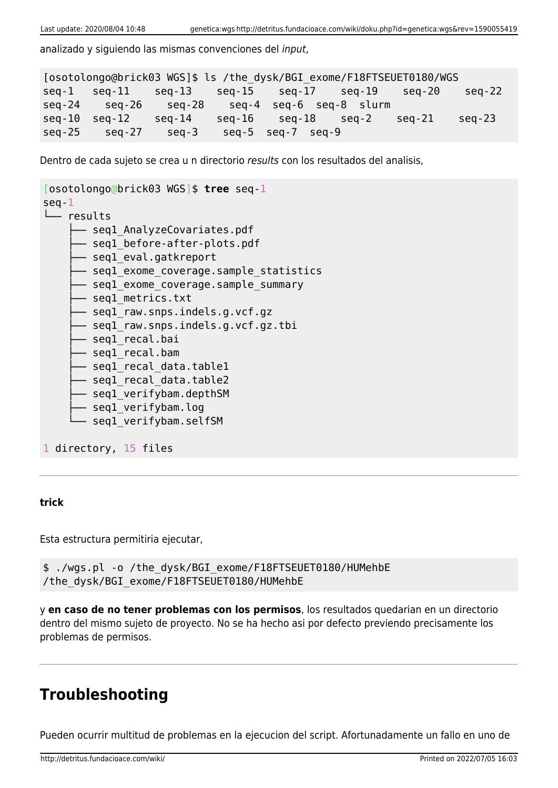analizado y siguiendo las mismas convenciones del input,

```
[osotolongo@brick03 WGS]$ ls /the_dysk/BGI_exome/F18FTSEUET0180/WGS
seq-1 seq-11 seq-13 seq-15 seq-17 seq-19 seq-20 seq-22
seq-24 seq-26 seq-28 seq-4 seq-6 seq-8 slurm
seq-10 seq-12 seq-14 seq-16 seq-18 seq-2 seq-21 seq-23
seq-25 seq-27 seq-3 seq-5 seq-7 seq-9
```
Dentro de cada sujeto se crea u n directorio results con los resultados del analisis,

```
[osotolongo@brick03 WGS]$ tree seq-1
seq-1
└── results
      - seql_AnalyzeCovariates.pdf
       - segl before-after-plots.pdf
       - seql eval.gatkreport
       - seql exome coverage.sample statistics
       - segl exome coverage.sample summary
        ├── seq1_metrics.txt
       - seql raw.snps.indels.g.vcf.gz
       - segl raw.snps.indels.g.vcf.gz.tbi
        ├── seq1_recal.bai
       - seql recal.bam
       - seql recal data.table1
        ├── seq1_recal_data.table2
       - seql verifybam.depthSM
       - seql verifybam.log
       - seql verifybam.selfSM
1 directory, 15 files
```
#### **trick**

Esta estructura permitiria ejecutar,

```
$ ./wgs.pl -o /the_dysk/BGI_exome/F18FTSEUET0180/HUMehbE
/the_dysk/BGI_exome/F18FTSEUET0180/HUMehbE
```
y **en caso de no tener problemas con los permisos**, los resultados quedarian en un directorio dentro del mismo sujeto de proyecto. No se ha hecho asi por defecto previendo precisamente los problemas de permisos.

### **Troubleshooting**

Pueden ocurrir multitud de problemas en la ejecucion del script. Afortunadamente un fallo en uno de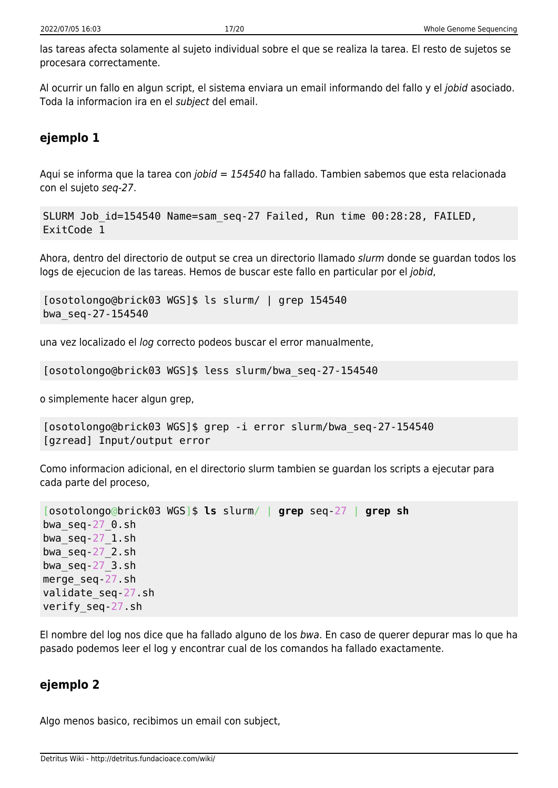las tareas afecta solamente al sujeto individual sobre el que se realiza la tarea. El resto de sujetos se procesara correctamente.

Al ocurrir un fallo en algun script, el sistema enviara un email informando del fallo y el jobid asociado. Toda la informacion ira en el subject del email.

### **ejemplo 1**

Aqui se informa que la tarea con *jobid = 154540* ha fallado. Tambien sabemos que esta relacionada con el sujeto seq-27.

```
SLURM Job_id=154540 Name=sam_seq-27 Failed, Run time 00:28:28, FAILED,
ExitCode 1
```
Ahora, dentro del directorio de output se crea un directorio llamado slurm donde se guardan todos los logs de ejecucion de las tareas. Hemos de buscar este fallo en particular por el jobid,

```
[osotolongo@brick03 WGS]$ ls slurm/ | grep 154540
bwa_seq-27-154540
```
una vez localizado el log correcto podeos buscar el error manualmente,

[osotolongo@brick03 WGS]\$ less slurm/bwa\_seq-27-154540

o simplemente hacer algun grep,

```
[osotolongo@brick03 WGS]$ grep -i error slurm/bwa_seq-27-154540
[gzread] Input/output error
```
Como informacion adicional, en el directorio slurm tambien se guardan los scripts a ejecutar para cada parte del proceso,

```
[osotolongo@brick03 WGS]$ ls slurm/ | grep seq-27 | grep sh
bwa_seq-27_0.sh
bwa_seq-27_1.sh
bwaseq-27 2.sh
bwa_seq-27_3.sh
merge_seq-27.sh
validate_seq-27.sh
verify_seq-27.sh
```
El nombre del log nos dice que ha fallado alguno de los bwa. En caso de querer depurar mas lo que ha pasado podemos leer el log y encontrar cual de los comandos ha fallado exactamente.

#### **ejemplo 2**

Algo menos basico, recibimos un email con subject,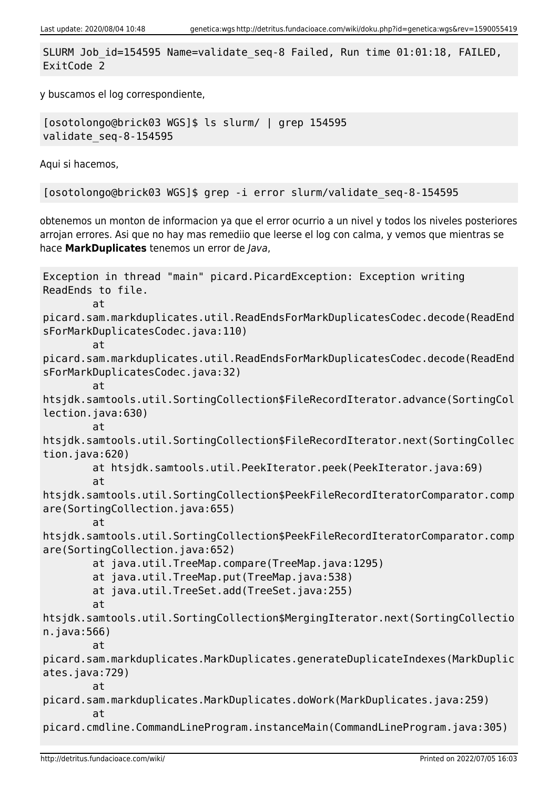SLURM Job\_id=154595 Name=validate\_seq-8 Failed, Run time 01:01:18, FAILED, ExitCode 2

y buscamos el log correspondiente,

[osotolongo@brick03 WGS]\$ ls slurm/ | grep 154595 validate\_seq-8-154595

Aqui si hacemos,

[osotolongo@brick03 WGS]\$ grep -i error slurm/validate\_seq-8-154595

obtenemos un monton de informacion ya que el error ocurrio a un nivel y todos los niveles posteriores arrojan errores. Asi que no hay mas remediio que leerse el log con calma, y vemos que mientras se hace **MarkDuplicates** tenemos un error de Java,

```
Exception in thread "main" picard.PicardException: Exception writing
ReadEnds to file.
         at
picard.sam.markduplicates.util.ReadEndsForMarkDuplicatesCodec.decode(ReadEnd
sForMarkDuplicatesCodec.java:110)
         at
picard.sam.markduplicates.util.ReadEndsForMarkDuplicatesCodec.decode(ReadEnd
sForMarkDuplicatesCodec.java:32)
         at
htsjdk.samtools.util.SortingCollection$FileRecordIterator.advance(SortingCol
lection.java:630)
         at
htsjdk.samtools.util.SortingCollection$FileRecordIterator.next(SortingCollec
tion.java:620)
         at htsjdk.samtools.util.PeekIterator.peek(PeekIterator.java:69)
         at
htsjdk.samtools.util.SortingCollection$PeekFileRecordIteratorComparator.comp
are(SortingCollection.java:655)
         at
htsjdk.samtools.util.SortingCollection$PeekFileRecordIteratorComparator.comp
are(SortingCollection.java:652)
         at java.util.TreeMap.compare(TreeMap.java:1295)
         at java.util.TreeMap.put(TreeMap.java:538)
         at java.util.TreeSet.add(TreeSet.java:255)
         at
htsjdk.samtools.util.SortingCollection$MergingIterator.next(SortingCollectio
n.java:566)
at at a t
picard.sam.markduplicates.MarkDuplicates.generateDuplicateIndexes(MarkDuplic
ates.java:729)
         at
picard.sam.markduplicates.MarkDuplicates.doWork(MarkDuplicates.java:259)
         at
picard.cmdline.CommandLineProgram.instanceMain(CommandLineProgram.java:305)
```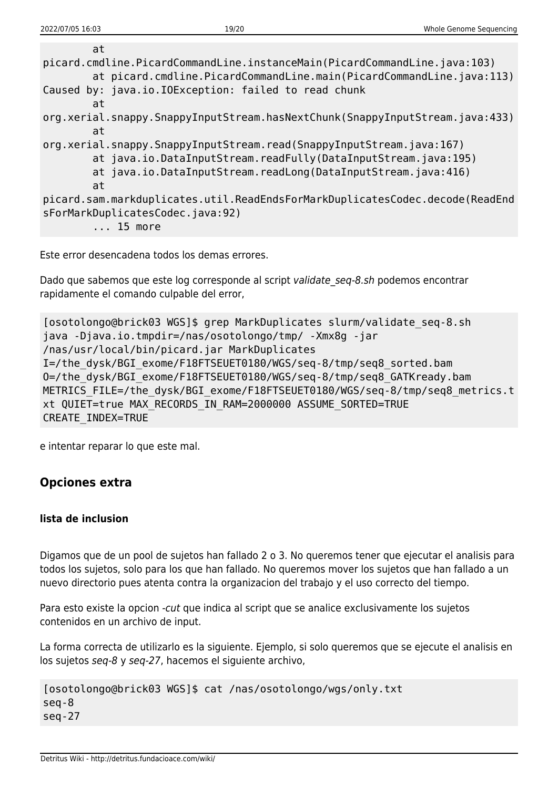Este error desencadena todos los demas errores.

Dado que sabemos que este log corresponde al script validate seq-8.sh podemos encontrar rapidamente el comando culpable del error,

```
[osotolongo@brick03 WGS]$ grep MarkDuplicates slurm/validate_seq-8.sh
java -Djava.io.tmpdir=/nas/osotolongo/tmp/ -Xmx8g -jar
/nas/usr/local/bin/picard.jar MarkDuplicates
I=/the_dysk/BGI_exome/F18FTSEUET0180/WGS/seq-8/tmp/seq8_sorted.bam
O=/the_dysk/BGI_exome/F18FTSEUET0180/WGS/seq-8/tmp/seq8_GATKready.bam
METRICS FILE=/the dysk/BGI exome/F18FTSEUET0180/WGS/seq-8/tmp/seq8 metrics.t
xt QUIET=true MAX_RECORDS_IN_RAM=2000000 ASSUME_SORTED=TRUE
CREATE_INDEX=TRUE
```
e intentar reparar lo que este mal.

#### **Opciones extra**

#### **lista de inclusion**

Digamos que de un pool de sujetos han fallado 2 o 3. No queremos tener que ejecutar el analisis para todos los sujetos, solo para los que han fallado. No queremos mover los sujetos que han fallado a un nuevo directorio pues atenta contra la organizacion del trabajo y el uso correcto del tiempo.

Para esto existe la opcion -cut que indica al script que se analice exclusivamente los sujetos contenidos en un archivo de input.

La forma correcta de utilizarlo es la siguiente. Ejemplo, si solo queremos que se ejecute el analisis en los sujetos seq-8 y seq-27, hacemos el siguiente archivo,

```
[osotolongo@brick03 WGS]$ cat /nas/osotolongo/wgs/only.txt
seq-8
seq-27
```